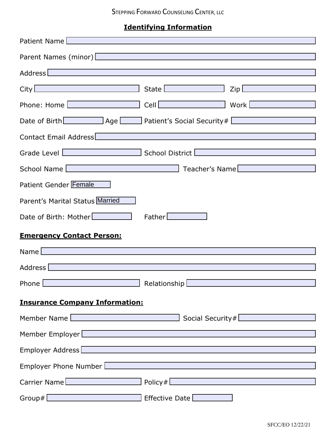# **Identifying Information**

| Patient Name [                                                                                                                                                                                                                                                                                                                                         |
|--------------------------------------------------------------------------------------------------------------------------------------------------------------------------------------------------------------------------------------------------------------------------------------------------------------------------------------------------------|
| Parent Names (minor)   Manual Manual Manual Manual Manual Manual Manual Manual Manual Manual Manual Manual Manu                                                                                                                                                                                                                                        |
| <u> 1989 - Johann Stein, marwolaethau a bhann an t-Amhain an t-Amhain an t-Amhain an t-Amhain an t-Amhain an t-A</u><br>Address Entertainment and the state of the state of the state of the state of the state of the state of the state of the state of the state of the state of the state of the state of the state of the state of the state of t |
| State <b>Exercise State</b><br>$\mathsf{Zip}\,\Box$<br>$City$ $\Box$                                                                                                                                                                                                                                                                                   |
| Phone: Home<br>Cell <u>Charles and Charles and Charles and Charles and Charles and Charles and Charles and Charles and Charles</u><br>Work <b>Work</b>                                                                                                                                                                                                 |
| Date of Birth Matter Charles Age Material Patient's Social Security #                                                                                                                                                                                                                                                                                  |
| Contact Email Address   Manual According to the Contact Email Address   Manual According to the Contract of the Contract of the Contract of the Contract of the Contract of the Contract of the Contract of the Contract of th                                                                                                                         |
| Grade Level Entertainment of School District Entertainment of the Contract of School District                                                                                                                                                                                                                                                          |
| <b>Example 2018</b> Teacher's Name <b>Constitution of the Constitution</b> Teacher's Name <b>Constitution</b><br>School Name                                                                                                                                                                                                                           |
| Patient Gender Female                                                                                                                                                                                                                                                                                                                                  |
| Parent's Marital Status Married                                                                                                                                                                                                                                                                                                                        |
| Date of Birth: Mother<br>Father                                                                                                                                                                                                                                                                                                                        |
| <b>Emergency Contact Person:</b>                                                                                                                                                                                                                                                                                                                       |
| Name                                                                                                                                                                                                                                                                                                                                                   |
| Address                                                                                                                                                                                                                                                                                                                                                |
| $\overline{\phantom{0}}$<br>Phone  <br>Relationship [<br>the control of the control of the control of the control of the control of                                                                                                                                                                                                                    |
| <b>Insurance Company Information:</b>                                                                                                                                                                                                                                                                                                                  |
| Member Name [Contract of the contract of the contract of the contract of the contract of the contract of the contract of the contract of the contract of the contract of the contract of the contract of the contract of the c                                                                                                                         |
| Member Employer                                                                                                                                                                                                                                                                                                                                        |
| Employer Address                                                                                                                                                                                                                                                                                                                                       |
| Employer Phone Number Entertainment of the Contract of the Contract of the Contract of the Contract of the Con                                                                                                                                                                                                                                         |
| Carrier Name Policy# Policy = 2012                                                                                                                                                                                                                                                                                                                     |
| Effective Date [<br>Group# state of the state of the state of the state of the state of the state of the state of the state of the                                                                                                                                                                                                                     |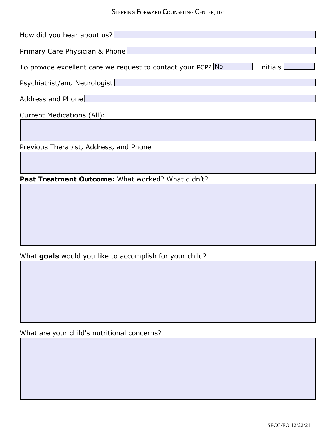| How did you hear about us?                                               |
|--------------------------------------------------------------------------|
| Primary Care Physician & Phone                                           |
| To provide excellent care we request to contact your PCP? No<br>Initials |
| Psychiatrist/and Neurologist                                             |
| Address and Phone $\Box$                                                 |
| <b>Current Medications (All):</b>                                        |

Previous Therapist, Address, and Phone

Past Treatment Outcome: What worked? What didn't?

# What **goals** would you like to accomplish for your child?

What are your child's nutritional concerns?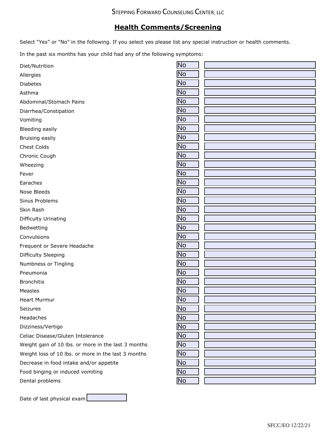# **Health Comments/Screening**

Select "Yes" or "No" in the following. If you select yes please list any special instruction or health comments.

In the past six months has your child had any of the following symptoms:

| <b>No</b><br>Allergies<br>N <sub>o</sub><br><b>Diabetes</b><br><b>No</b><br>Asthma |  |
|------------------------------------------------------------------------------------|--|
|                                                                                    |  |
|                                                                                    |  |
|                                                                                    |  |
| No<br>Abdominal/Stomach Pains                                                      |  |
| <b>No</b><br>Diarrhea/Constipation                                                 |  |
| <b>No</b><br>Vomiting                                                              |  |
| $\overline{N}$<br>Bleeding easily                                                  |  |
| <b>No</b><br>Bruising easily                                                       |  |
| <b>No</b><br>Chest Colds                                                           |  |
| <b>No</b><br>Chronic Cough                                                         |  |
| <b>No</b><br>Wheezing                                                              |  |
| <b>No</b><br>Fever                                                                 |  |
| N <sub>o</sub><br>Earaches                                                         |  |
| $\overline{N}$<br>Nose Bleeds                                                      |  |
| $\overline{N}$<br>Sinus Problems                                                   |  |
| <b>No</b><br>Skin Rash                                                             |  |
| <b>No</b><br>Difficulty Urinating                                                  |  |
| No<br>Bedwetting                                                                   |  |
| <b>No</b><br>Convulsions                                                           |  |
| <b>No</b><br>Frequent or Severe Headache                                           |  |
| N <sub>o</sub><br>Difficulty Sleeping                                              |  |
| No<br>Numbness or Tingling                                                         |  |
| <b>No</b><br>Pneumonia                                                             |  |
| $\overline{N}$<br><b>Bronchitis</b>                                                |  |
| <b>No</b><br>Measles                                                               |  |
| <b>No</b><br><b>Heart Murmur</b>                                                   |  |
| <b>No</b><br>г<br>Seizures                                                         |  |
| <b>No</b><br>Headaches                                                             |  |
| <b>No</b><br>Dizziness/Vertigo                                                     |  |
| <b>No</b><br>Celiac Disease/Gluten Intolerance                                     |  |
| No<br>Weight gain of 10 lbs. or more in the last 3 months                          |  |
| <b>No</b><br>Weight loss of 10 lbs. or more in the last 3 months                   |  |
| <b>No</b><br>Decrease in food intake and/or appetite                               |  |
| $\overline{N}$<br>Food binging or induced vomiting                                 |  |
| No<br>Dental problems                                                              |  |

Date of last physical exam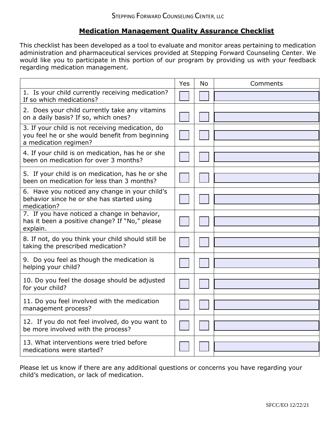# **Medication Management Quality Assurance Checklist**

This checklist has been developed as a tool to evaluate and monitor areas pertaining to medication administration and pharmaceutical services provided at Stepping Forward Counseling Center. We would like you to participate in this portion of our program by providing us with your feedback regarding medication management.

|                                                                                                                              | Yes | <b>No</b> | Comments |
|------------------------------------------------------------------------------------------------------------------------------|-----|-----------|----------|
| 1. Is your child currently receiving medication?<br>If so which medications?                                                 |     |           |          |
| 2. Does your child currently take any vitamins<br>on a daily basis? If so, which ones?                                       |     |           |          |
| 3. If your child is not receiving medication, do<br>you feel he or she would benefit from beginning<br>a medication regimen? |     |           |          |
| 4. If your child is on medication, has he or she<br>been on medication for over 3 months?                                    |     |           |          |
| 5. If your child is on medication, has he or she<br>been on medication for less than 3 months?                               |     |           |          |
| 6. Have you noticed any change in your child's<br>behavior since he or she has started using<br>medication?                  |     |           |          |
| 7. If you have noticed a change in behavior,<br>has it been a positive change? If "No," please<br>explain.                   |     |           |          |
| 8. If not, do you think your child should still be<br>taking the prescribed medication?                                      |     |           |          |
| 9. Do you feel as though the medication is<br>helping your child?                                                            |     |           |          |
| 10. Do you feel the dosage should be adjusted<br>for your child?                                                             |     |           |          |
| 11. Do you feel involved with the medication<br>management process?                                                          |     |           |          |
| 12. If you do not feel involved, do you want to<br>be more involved with the process?                                        |     |           |          |
| 13. What interventions were tried before<br>medications were started?                                                        |     |           |          |

Please let us know if there are any additional questions or concerns you have regarding your child's medication, or lack of medication.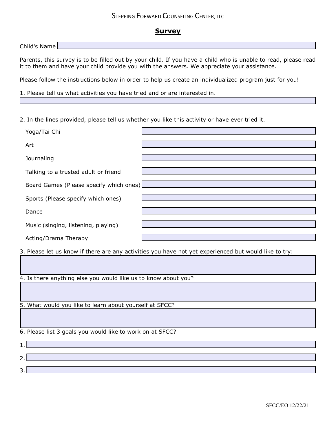### **Survey**

Child's Name

Parents, this survey is to be filled out by your child. If you have a child who is unable to read, please read it to them and have your child provide you with the answers. We appreciate your assistance.

Please follow the instructions below in order to help us create an individualized program just for you!

1. Please tell us what activities you have tried and or are interested in.

2. In the lines provided, please tell us whether you like this activity or have ever tried it.

| Yoga/Tai Chi                            |  |
|-----------------------------------------|--|
| Art                                     |  |
| Journaling                              |  |
| Talking to a trusted adult or friend    |  |
| Board Games (Please specify which ones) |  |
| Sports (Please specify which ones)      |  |
| Dance                                   |  |
| Music (singing, listening, playing)     |  |
| Acting/Drama Therapy                    |  |

3. Please let us know if there are any activities you have not yet experienced but would like to try:

4. Is there anything else you would like us to know about you?

5. What would you like to learn about yourself at SFCC?

6. Please list 3 goals you would like to work on at SFCC?

1. 2. 3.

SFCC/EO 12/22/21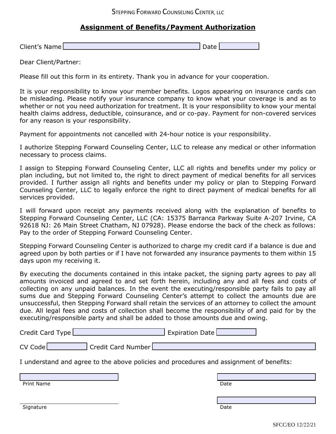## **Assignment of Benefits/Payment Authorization**

Client's Name Date Date of the Client's Name Date Date of the Date Date of the Date Date Date of the Date of the Date of the Date of the Date of the Date of the Date of the Date of the Date of the Date of the Date of the D

Dear Client/Partner:

Please fill out this form in its entirety. Thank you in advance for your cooperation.

It is your responsibility to know your member benefits. Logos appearing on insurance cards can be misleading. Please notify your insurance company to know what your coverage is and as to whether or not you need authorization for treatment. It is your responsibility to know your mental health claims address, deductible, coinsurance, and or co-pay. Payment for non-covered services for any reason is your responsibility.

Payment for appointments not cancelled with 24-hour notice is your responsibility.

I authorize Stepping Forward Counseling Center, LLC to release any medical or other information necessary to process claims.

I assign to Stepping Forward Counseling Center, LLC all rights and benefits under my policy or plan including, but not limited to, the right to direct payment of medical benefits for all services provided. I further assign all rights and benefits under my policy or plan to Stepping Forward Counseling Center, LLC to legally enforce the right to direct payment of medical benefits for all services provided.

I will forward upon receipt any payments received along with the explanation of benefits to Stepping Forward Counseling Center, LLC (CA: 15375 Barranca Parkway Suite A-207 Irvine, CA 92618 NJ: 26 Main Street Chatham, NJ 07928). Please endorse the back of the check as follows: Pay to the order of Stepping Forward Counseling Center.

Stepping Forward Counseling Center is authorized to charge my credit card if a balance is due and agreed upon by both parties or if I have not forwarded any insurance payments to them within 15 days upon my receiving it.

By executing the documents contained in this intake packet, the signing party agrees to pay all amounts invoiced and agreed to and set forth herein, including any and all fees and costs of collecting on any unpaid balances. In the event the executing/responsible party fails to pay all sums due and Stepping Forward Counseling Center's attempt to collect the amounts due are unsuccessful, then Stepping Forward shall retain the services of an attorney to collect the amount due. All legal fees and costs of collection shall become the responsibility of and paid for by the executing/responsible party and shall be added to those amounts due and owing.

| Credit Card Type                                                                        | <b>Expiration Date</b> |
|-----------------------------------------------------------------------------------------|------------------------|
| $CV$ Code $\Box$<br>Credit Card Number                                                  |                        |
| I understand and agree to the above policies and procedures and assignment of benefits: |                        |

| <b>Print Name</b> | Date |
|-------------------|------|
|                   |      |

Signature Date Date of the Date of the Date of the Date of the Date of the Date of the Date of the Date of the Date of the Date of the Date of the Date of the Date of the Date of the Date of the Date of the Date of the Dat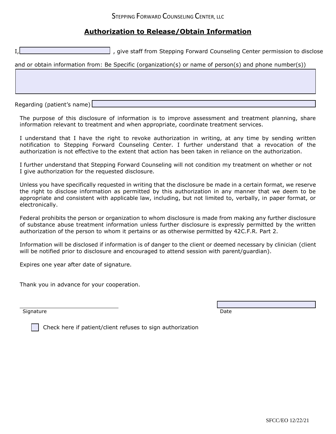# **Authorization to Release/Obtain Information**

| , give staff from Stepping Forward Counseling Center permission to disclose                            |
|--------------------------------------------------------------------------------------------------------|
| and or obtain information from: Be Specific (organization(s) or name of person(s) and phone number(s)) |
|                                                                                                        |
|                                                                                                        |
|                                                                                                        |

Regarding (patient's name)

The purpose of this disclosure of information is to improve assessment and treatment planning, share information relevant to treatment and when appropriate, coordinate treatment services.

I understand that I have the right to revoke authorization in writing, at any time by sending written notification to Stepping Forward Counseling Center. I further understand that a revocation of the authorization is not effective to the extent that action has been taken in reliance on the authorization.

I further understand that Stepping Forward Counseling will not condition my treatment on whether or not I give authorization for the requested disclosure.

Unless you have specifically requested in writing that the disclosure be made in a certain format, we reserve the right to disclose information as permitted by this authorization in any manner that we deem to be appropriate and consistent with applicable law, including, but not limited to, verbally, in paper format, or electronically.

Federal prohibits the person or organization to whom disclosure is made from making any further disclosure of substance abuse treatment information unless further disclosure is expressly permitted by the written authorization of the person to whom it pertains or as otherwise permitted by 42C.F.R. Part 2.

Information will be disclosed if information is of danger to the client or deemed necessary by clinician (client will be notified prior to disclosure and encouraged to attend session with parent/guardian).

Expires one year after date of signature.

Thank you in advance for your cooperation.

Signature Date Date of the Date of the Date of the Date of the Date of the Date of the Date of the Date of the

Check here if patient/client refuses to sign authorization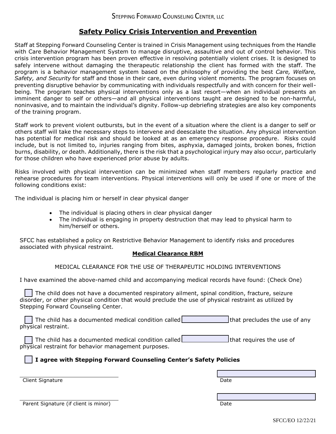## **Safety Policy Crisis Intervention and Prevention**

Staff at Stepping Forward Counseling Center is trained in Crisis Management using techniques from the Handle with Care Behavior Management System to manage disruptive, assaultive and out of control behavior. This crisis intervention program has been proven effective in resolving potentially violent crises. It is designed to safely intervene without damaging the therapeutic relationship the client has formed with the staff. The program is a behavior management system based on the philosophy of providing the best *Care, Welfare, Safety, and Security* for staff and those in their care, even during violent moments. The program focuses on preventing disruptive behavior by communicating with individuals respectfully and with concern for their wellbeing. The program teaches physical interventions only as a last resort—when an individual presents an imminent danger to self or others—and all physical interventions taught are designed to be non-harmful, noninvasive, and to maintain the individual's dignity. Follow-up debriefing strategies are also key components of the training program.

Staff work to prevent violent outbursts, but in the event of a situation where the client is a danger to self or others staff will take the necessary steps to intervene and deescalate the situation. Any physical intervention has potential for medical risk and should be looked at as an emergency response procedure. Risks could include, but is not limited to, injuries ranging from bites, asphyxia, damaged joints, broken bones, friction burns, disability, or death. Additionally, there is the risk that a psychological injury may also occur, particularly for those children who have experienced prior abuse by adults.

Risks involved with physical intervention can be minimized when staff members regularly practice and rehearse procedures for team interventions. Physical interventions will only be used if one or more of the following conditions exist:

The individual is placing him or herself in clear physical danger

- The individual is placing others in clear physical danger
- The individual is engaging in property destruction that may lead to physical harm to him/herself or others.

SFCC has established a policy on Restrictive Behavior Management to identify risks and procedures associated with physical restraint.

#### **Medical Clearance RBM**

#### MEDICAL CLEARANCE FOR THE USE OF THERAPEUTIC HOLDING INTERVENTIONS

I have examined the above-named child and accompanying medical records have found: (Check One)

The child does not have a documented respiratory ailment, spinal condition, fracture, seizure disorder, or other physical condition that would preclude the use of physical restraint as utilized by Stepping Forward Counseling Center.

The child has a documented medical condition called that is that precludes the use of any physical restraint.

The child has a documented medical condition called  $\Box$   $\Box$  that requires the use of physical restraint for behavior management purposes.

#### **I agree with Stepping Forward Counseling Center's Safety Policies**

Client Signature Date

| Parent Signature (if client is minor) | Date |
|---------------------------------------|------|
|---------------------------------------|------|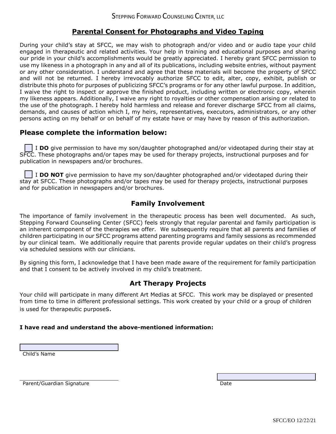# **Parental Consent for Photographs and Video Taping**

During your child's stay at SFCC, we may wish to photograph and/or video and or audio tape your child engaged in therapeutic and related activities. Your help in training and educational purposes and sharing our pride in your child's accomplishments would be greatly appreciated. I hereby grant SFCC permission to use my likeness in a photograph in any and all of its publications, including website entries, without payment or any other consideration. I understand and agree that these materials will become the property of SFCC and will not be returned. I hereby irrevocably authorize SFCC to edit, alter, copy, exhibit, publish or distribute this photo for purposes of publicizing SFCC's programs or for any other lawful purpose. In addition, I waive the right to inspect or approve the finished product, including written or electronic copy, wherein my likeness appears. Additionally, I waive any right to royalties or other compensation arising or related to the use of the photograph. I hereby hold harmless and release and forever discharge SFCC from all claims, demands, and causes of action which I, my heirs, representatives, executors, administrators, or any other persons acting on my behalf or on behalf of my estate have or may have by reason of this authorization.

# **Please complete the information below:**

I **DO** give permission to have my son/daughter photographed and/or videotaped during their stay at SFCC. These photographs and/or tapes may be used for therapy projects, instructional purposes and for publication in newspapers and/or brochures.

I **DO NOT** give permission to have my son/daughter photographed and/or videotaped during their stay at SFCC. These photographs and/or tapes may be used for therapy projects, instructional purposes and for publication in newspapers and/or brochures.

## **Family Involvement**

The importance of family involvement in the therapeutic process has been well documented. As such, Stepping Forward Counseling Center (SFCC) feels strongly that regular parental and family participation is an inherent component of the therapies we offer. We subsequently require that all parents and families of children participating in our SFCC programs attend parenting programs and family sessions as recommended by our clinical team. We additionally require that parents provide regular updates on their child's progress via scheduled sessions with our clinicians.

By signing this form, I acknowledge that I have been made aware of the requirement for family participation and that I consent to be actively involved in my child's treatment.

### **Art Therapy Projects**

Your child will participate in many different Art Medias at SFCC. This work may be displayed or presented from time to time in different professional settings. This work created by your child or a group of children is used for therapeutic purposes.

#### **I have read and understand the above-mentioned information:**

Child's Name

Parent/Guardian Signature **Date of American Systems** Date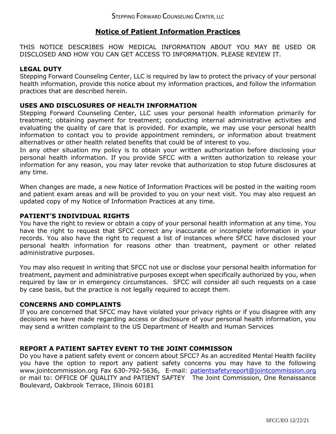# **Notice of Patient Information Practices**

THIS NOTICE DESCRIBES HOW MEDICAL INFORMATION ABOUT YOU MAY BE USED OR DISCLOSED AND HOW YOU CAN GET ACCESS TO INFORMATION. PLEASE REVIEW IT.

### **LEGAL DUTY**

Stepping Forward Counseling Center, LLC is required by law to protect the privacy of your personal health information, provide this notice about my information practices, and follow the information practices that are described herein.

### **USES AND DISCLOSURES OF HEALTH INFORMATION**

Stepping Forward Counseling Center, LLC uses your personal health information primarily for treatment; obtaining payment for treatment; conducting internal administrative activities and evaluating the quality of care that is provided. For example, we may use your personal health information to contact you to provide appointment reminders, or information about treatment alternatives or other health related benefits that could be of interest to you.

In any other situation my policy is to obtain your written authorization before disclosing your personal health information. If you provide SFCC with a written authorization to release your information for any reason, you may later revoke that authorization to stop future disclosures at any time.

When changes are made, a new Notice of Information Practices will be posted in the waiting room and patient exam areas and will be provided to you on your next visit. You may also request an updated copy of my Notice of Information Practices at any time.

#### **PATIENT'S INDIVIDUAL RIGHTS**

You have the right to review or obtain a copy of your personal health information at any time. You have the right to request that SFCC correct any inaccurate or incomplete information in your records. You also have the right to request a list of instances where SFCC have disclosed your personal health information for reasons other than treatment, payment or other related administrative purposes.

You may also request in writing that SFCC not use or disclose your personal health information for treatment, payment and administrative purposes except when specifically authorized by you, when required by law or in emergency circumstances. SFCC will consider all such requests on a case by case basis, but the practice is not legally required to accept them.

#### **CONCERNS AND COMPLAINTS**

If you are concerned that SFCC may have violated your privacy rights or if you disagree with any decisions we have made regarding access or disclosure of your personal health information, you may send a written complaint to the US Department of Health and Human Services

### **REPORT A PATIENT SAFTEY EVENT TO THE JOINT COMMISSON**

Do you have a patient safety event or concern about SFCC? As an accredited Mental Health facility you have the option to report any patient safety concerns you may have to the following www.jointcommission.org Fax 630-792-5636, E-mail: [patientsafetyreport@jointcommission.org](mailto:patientsafetyreport@jointcommission.org) or mail to: OFFICE OF QUALITY and PATIENT SAFTEY The Joint Commission, One Renaissance Boulevard, Oakbrook Terrace, Illinois 60181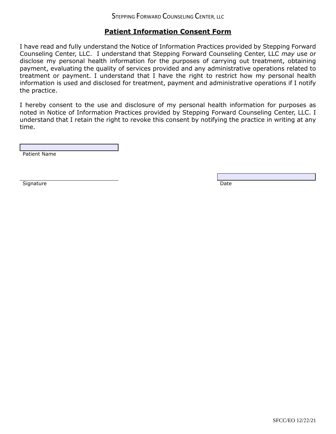# **Patient Information Consent Form**

I have read and fully understand the Notice of Information Practices provided by Stepping Forward Counseling Center, LLC. I understand that Stepping Forward Counseling Center, LLC *may* use or disclose my personal health information for the purposes of carrying out treatment, obtaining payment, evaluating the quality of services provided and any administrative operations related to treatment or payment. I understand that I have the right to restrict how my personal health information is used and disclosed for treatment, payment and administrative operations if I notify the practice.

I hereby consent to the use and disclosure of my personal health information for purposes as noted in Notice of Information Practices provided by Stepping Forward Counseling Center, LLC. I understand that I retain the right to revoke this consent by notifying the practice in writing at any time.

Patient Name

Signature Date Date Date of the United States of the United States of the Date Date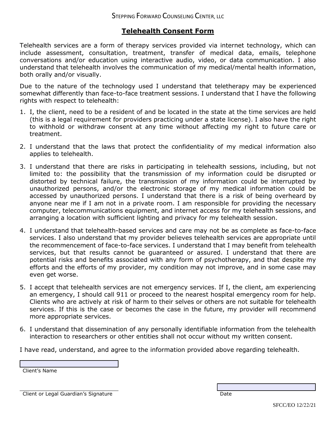# **Telehealth Consent Form**

Telehealth services are a form of therapy services provided via internet technology, which can include assessment, consultation, treatment, transfer of medical data, emails, telephone conversations and/or education using interactive audio, video, or data communication. I also understand that telehealth involves the communication of my medical/mental health information, both orally and/or visually.

Due to the nature of the technology used I understand that teletherapy may be experienced somewhat differently than face-to-face treatment sessions. I understand that I have the following rights with respect to telehealth:

- 1. I, the client, need to be a resident of and be located in the state at the time services are held (this is a legal requirement for providers practicing under a state license). I also have the right to withhold or withdraw consent at any time without affecting my right to future care or treatment.
- 2. I understand that the laws that protect the confidentiality of my medical information also applies to telehealth.
- 3. I understand that there are risks in participating in telehealth sessions, including, but not limited to: the possibility that the transmission of my information could be disrupted or distorted by technical failure, the transmission of my information could be interrupted by unauthorized persons, and/or the electronic storage of my medical information could be accessed by unauthorized persons. I understand that there is a risk of being overheard by anyone near me if I am not in a private room. I am responsible for providing the necessary computer, telecommunications equipment, and internet access for my telehealth sessions, and arranging a location with sufficient lighting and privacy for my telehealth session.
- 4. I understand that telehealth-based services and care may not be as complete as face-to-face services. I also understand that my provider believes telehealth services are appropriate until the recommencement of face-to-face services. I understand that I may benefit from telehealth services, but that results cannot be guaranteed or assured. I understand that there are potential risks and benefits associated with any form of psychotherapy, and that despite my efforts and the efforts of my provider, my condition may not improve, and in some case may even get worse.
- 5. I accept that telehealth services are not emergency services. If I, the client, am experiencing an emergency, I should call 911 or proceed to the nearest hospital emergency room for help. Clients who are actively at risk of harm to their selves or others are not suitable for telehealth services. If this is the case or becomes the case in the future, my provider will recommend more appropriate services.
- 6. I understand that dissemination of any personally identifiable information from the telehealth interaction to researchers or other entities shall not occur without my written consent.

I have read, understand, and agree to the information provided above regarding telehealth.

Client's Name

Client or Legal Guardian's Signature Date Date of Client or Legal Guardian's Signature Date